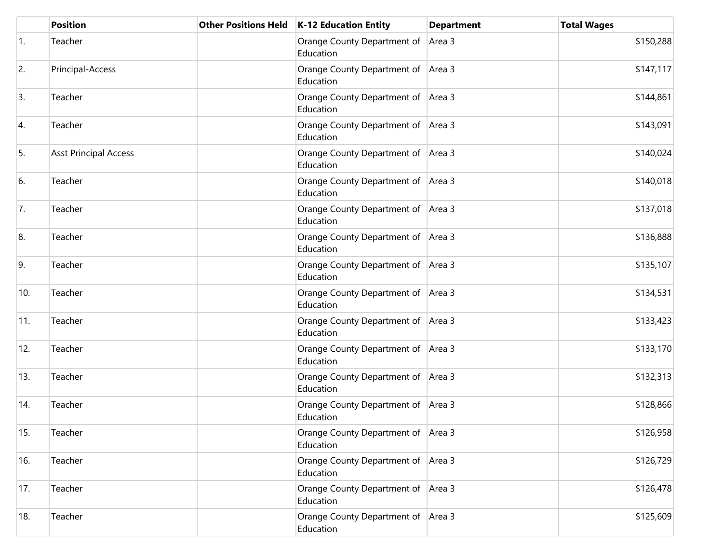|                  | <b>Position</b>              | Other Positions Held   K-12 Education Entity      | <b>Department</b> | <b>Total Wages</b> |
|------------------|------------------------------|---------------------------------------------------|-------------------|--------------------|
| $\overline{1}$ . | Teacher                      | Orange County Department of Area 3<br>Education   |                   | \$150,288          |
| 2.               | Principal-Access             | Orange County Department of Area 3<br>Education   |                   | \$147,117          |
| 3.               | Teacher                      | Orange County Department of Area 3<br>Education   |                   | \$144,861          |
| 4.               | Teacher                      | Orange County Department of Area 3<br>Education   |                   | \$143,091          |
| 5.               | <b>Asst Principal Access</b> | Orange County Department of Area 3<br>Education   |                   | \$140,024          |
| 6.               | Teacher                      | Orange County Department of   Area 3<br>Education |                   | \$140,018          |
| 7.               | Teacher                      | Orange County Department of Area 3<br>Education   |                   | \$137,018          |
| 8.               | Teacher                      | Orange County Department of Area 3<br>Education   |                   | \$136,888          |
| 9.               | Teacher                      | Orange County Department of Area 3<br>Education   |                   | \$135,107          |
| 10.              | Teacher                      | Orange County Department of Area 3<br>Education   |                   | \$134,531          |
| 11.              | Teacher                      | Orange County Department of Area 3<br>Education   |                   | \$133,423          |
| 12.              | Teacher                      | Orange County Department of Area 3<br>Education   |                   | \$133,170          |
| 13.              | Teacher                      | Orange County Department of Area 3<br>Education   |                   | \$132,313          |
| 14.              | Teacher                      | Orange County Department of Area 3<br>Education   |                   | \$128,866          |
| 15.              | Teacher                      | Orange County Department of Area 3<br>Education   |                   | \$126,958          |
| 16.              | Teacher                      | Orange County Department of Area 3<br>Education   |                   | \$126,729          |
| 17.              | Teacher                      | Orange County Department of Area 3<br>Education   |                   | \$126,478          |
| 18.              | Teacher                      | Orange County Department of Area 3<br>Education   |                   | \$125,609          |